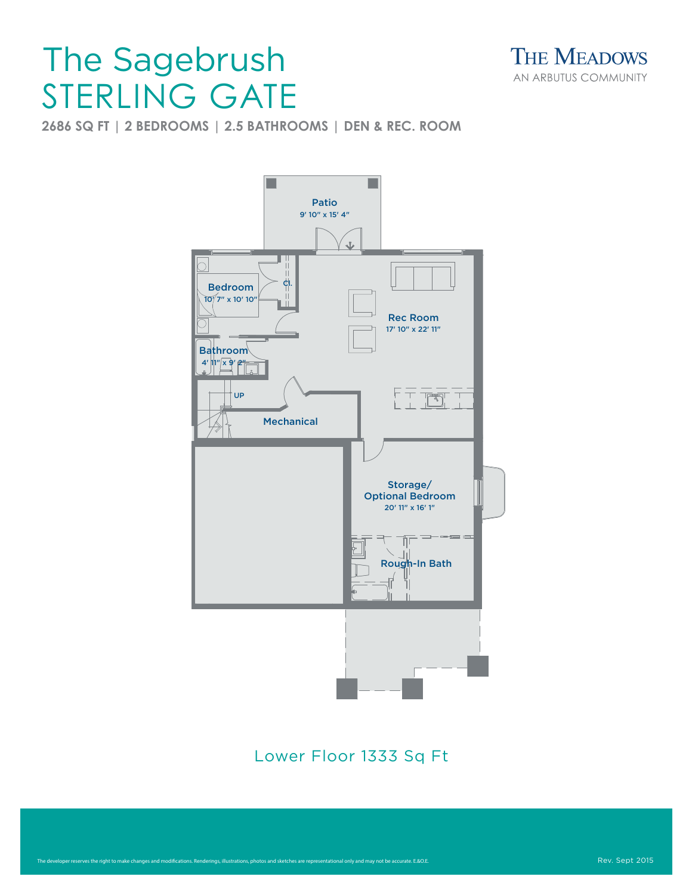## STERLING GATE The Sagebrush

**THE MEADOWS** AN ARBUTUS COMMUNITY

**2686 SQ FT | 2 BEDROOMS | 2.5 BATHROOMS | DEN & REC. ROOM**



Lower Floor 1333 Sq Ft Lower Floor